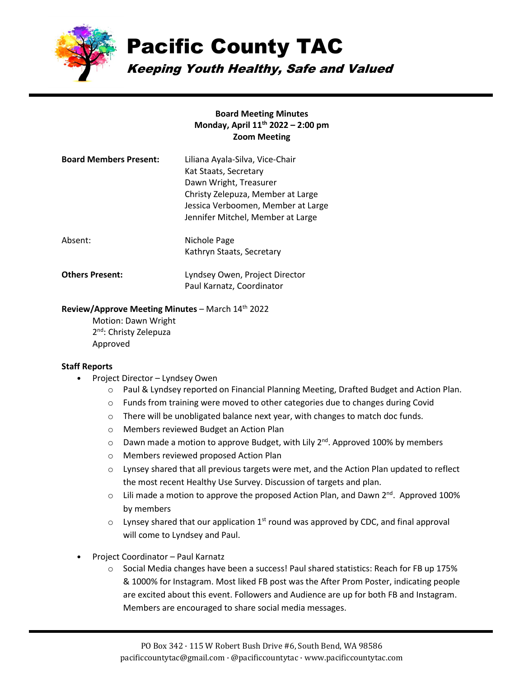

# Pacific County TAC

Kathryn Staats, Secretary

Paul Karnatz, Coordinator

Keeping Youth Healthy, Safe and Valued

### **Board Meeting Minutes Monday, April 11th 2022 – 2:00 pm Zoom Meeting**

| <b>Board Members Present:</b> | Liliana Ayala-Silva, Vice-Chair<br>Kat Staats, Secretary<br>Dawn Wright, Treasurer<br>Christy Zelepuza, Member at Large<br>Jessica Verboomen, Member at Large<br>Jennifer Mitchel, Member at Large |
|-------------------------------|----------------------------------------------------------------------------------------------------------------------------------------------------------------------------------------------------|
| Absent:                       | Nichole Page                                                                                                                                                                                       |

**Others Present:** Lyndsey Owen, Project Director

#### **Review/Approve Meeting Minutes** – March 14th 2022

Motion: Dawn Wright 2<sup>nd</sup>: Christy Zelepuza Approved

#### **Staff Reports**

- Project Director Lyndsey Owen
	- o Paul & Lyndsey reported on Financial Planning Meeting, Drafted Budget and Action Plan.
	- o Funds from training were moved to other categories due to changes during Covid
	- o There will be unobligated balance next year, with changes to match doc funds.
	- o Members reviewed Budget an Action Plan
	- $\circ$  Dawn made a motion to approve Budget, with Lily 2<sup>nd</sup>. Approved 100% by members
	- o Members reviewed proposed Action Plan
	- $\circ$  Lynsey shared that all previous targets were met, and the Action Plan updated to reflect the most recent Healthy Use Survey. Discussion of targets and plan.
	- $\circ$  Lili made a motion to approve the proposed Action Plan, and Dawn 2<sup>nd</sup>. Approved 100% by members
	- $\circ$  Lynsey shared that our application 1<sup>st</sup> round was approved by CDC, and final approval will come to Lyndsey and Paul.
- Project Coordinator Paul Karnatz
	- $\circ$  Social Media changes have been a success! Paul shared statistics: Reach for FB up 175% & 1000% for Instagram. Most liked FB post was the After Prom Poster, indicating people are excited about this event. Followers and Audience are up for both FB and Instagram. Members are encouraged to share social media messages.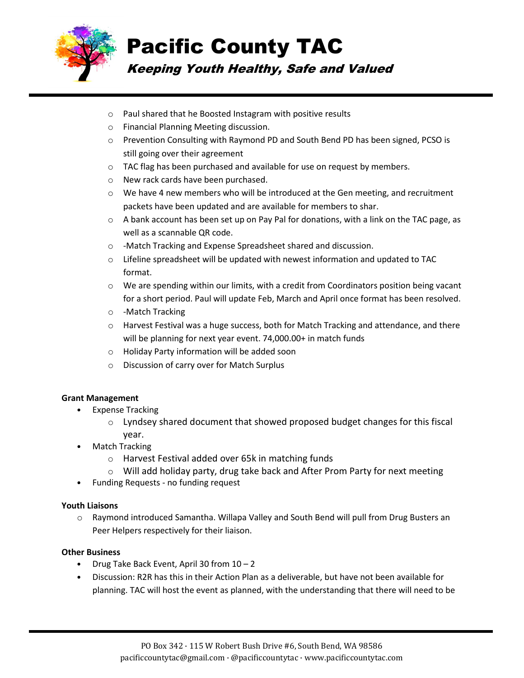

# Pacific County TAC

## Keeping Youth Healthy, Safe and Valued

- o Paul shared that he Boosted Instagram with positive results
- o Financial Planning Meeting discussion.
- o Prevention Consulting with Raymond PD and South Bend PD has been signed, PCSO is still going over their agreement
- o TAC flag has been purchased and available for use on request by members.
- o New rack cards have been purchased.
- $\circ$  We have 4 new members who will be introduced at the Gen meeting, and recruitment packets have been updated and are available for members to shar.
- $\circ$  A bank account has been set up on Pay Pal for donations, with a link on the TAC page, as well as a scannable QR code.
- o -Match Tracking and Expense Spreadsheet shared and discussion.
- $\circ$  Lifeline spreadsheet will be updated with newest information and updated to TAC format.
- o We are spending within our limits, with a credit from Coordinators position being vacant for a short period. Paul will update Feb, March and April once format has been resolved.
- o -Match Tracking
- $\circ$  Harvest Festival was a huge success, both for Match Tracking and attendance, and there will be planning for next year event. 74,000.00+ in match funds
- o Holiday Party information will be added soon
- o Discussion of carry over for Match Surplus

### **Grant Management**

- Expense Tracking
	- $\circ$  Lyndsey shared document that showed proposed budget changes for this fiscal year.
	- **Match Tracking** 
		- o Harvest Festival added over 65k in matching funds
		- $\circ$  Will add holiday party, drug take back and After Prom Party for next meeting
- Funding Requests no funding request

### **Youth Liaisons**

o Raymond introduced Samantha. Willapa Valley and South Bend will pull from Drug Busters an Peer Helpers respectively for their liaison.

### **Other Business**

- Drug Take Back Event, April 30 from 10 2
- Discussion: R2R has this in their Action Plan as a deliverable, but have not been available for planning. TAC will host the event as planned, with the understanding that there will need to be